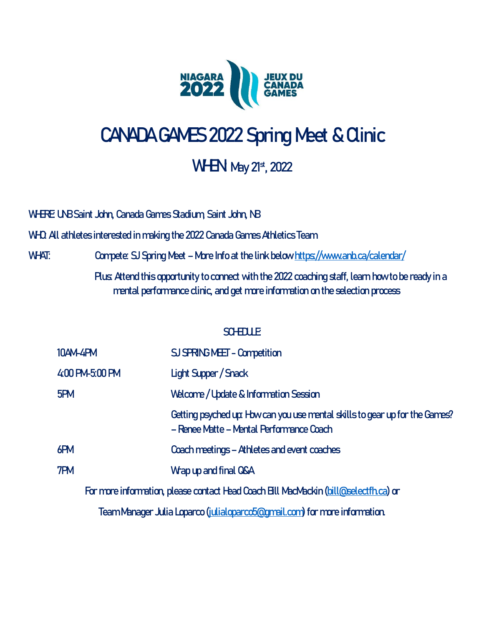

## **CANADA GAMES 2022 Spring Meet & Clinic**

### **WHEN** May 21st, 2022

WHRE UNB Saint John, Canada Games Stadium, Saint John, NB

**WHO:** All athletes interested in making the 2022 Canada Games Athletics Team

**WHAT: Compete: SJ Spring Meet – More Info at the link below<https://www.anb.ca/calendar/>**

**Plus:** Attend this opportunity to connect with the 2022 coaching staff, learn how to be ready in a mental performance clinic, and get more information on the selection process

#### **SCHEDULE**

| <b>10AM-4PM</b>                                                                     | SJ SPRING MELT - Competition                                                                                            |
|-------------------------------------------------------------------------------------|-------------------------------------------------------------------------------------------------------------------------|
| 4:00 PM-5:00 PM                                                                     | <b>Light Supper / Snack</b>                                                                                             |
| 5PM                                                                                 | Welcome / Update & Information Session                                                                                  |
|                                                                                     | Getting psyched up: How can you use mental skills to gear up for the Games?<br>- Renee Matte - Mental Performance Coach |
| 6PM                                                                                 | Coach meetings - Athletes and event coaches                                                                             |
| 7PM                                                                                 | Wap up and final QSA                                                                                                    |
| For more information, please contact Head Coach Bll MacMackin (bill@selectfh.ca) or |                                                                                                                         |
| エー・エヌ スーパー とうしょう こうしょう じゅうしょう かんしょう かんしょう                                           |                                                                                                                         |

Team Manager Julia Loparco [\(julialoparco5@gmail.com\)](mailto:julialoparco5@gmail.com) for more information.